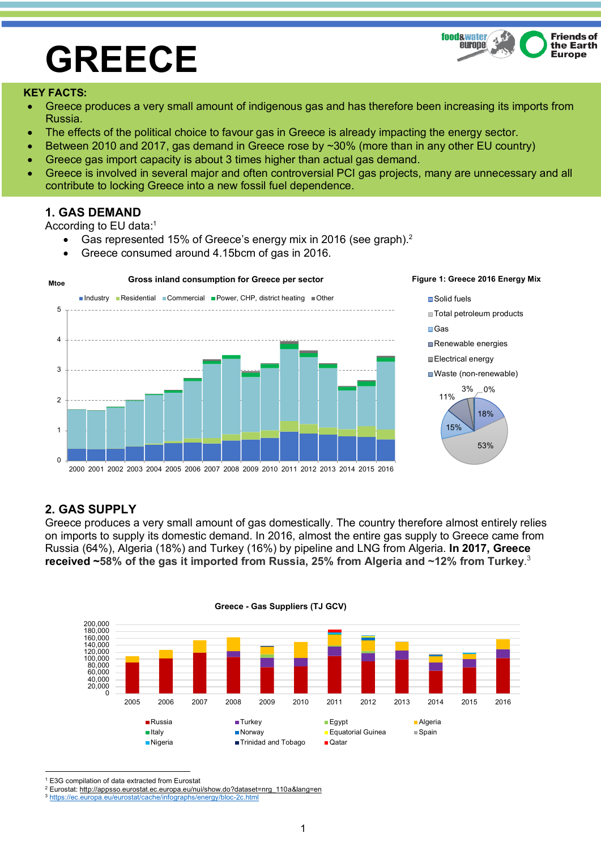# **GREECE**



#### **KEY FACTS:**

- Greece produces a very small amount of indigenous gas and has therefore been increasing its imports from Russia.
- The effects of the political choice to favour gas in Greece is already impacting the energy sector.
- Between 2010 and 2017, gas demand in Greece rose by ~30% (more than in any other EU country)
- Greece gas import capacity is about 3 times higher than actual gas demand.
- Greece is involved in several major and often controversial PCI gas projects, many are unnecessary and all contribute to locking Greece into a new fossil fuel dependence.

## **1. GAS DEMAND**

According to EU data:1

- Gas represented 15% of Greece's energy mix in 2016 (see graph).<sup>2</sup>
- Greece consumed around 4.15bcm of gas in 2016.



## **2. GAS SUPPLY**

Greece produces a very small amount of gas domestically. The country therefore almost entirely relies on imports to supply its domestic demand. In 2016, almost the entire gas supply to Greece came from Russia (64%), Algeria (18%) and Turkey (16%) by pipeline and LNG from Algeria. **In 2017, Greece received ~58% of the gas it imported from Russia, 25% from Algeria and ~12% from Turkey**. 3



**Greece - Gas Suppliers (TJ GCV)**

<sup>1</sup> <sup>1</sup> E3G compilation of data extracted from Eurostat

<sup>2</sup> Eurostat: http://appsso.eurostat.ec.europa.eu/nui/show.do?dataset=nrg\_110a&lang=en

<sup>3</sup> https://ec.europa.eu/eurostat/cache/infographs/energy/bloc-2c.html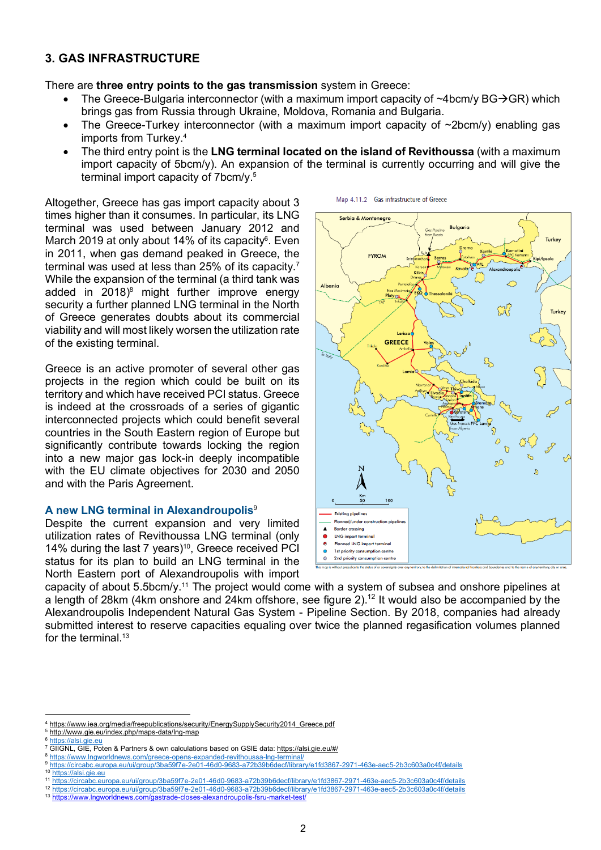## **3. GAS INFRASTRUCTURE**

There are **three entry points to the gas transmission** system in Greece:

- The Greece-Bulgaria interconnector (with a maximum import capacity of  $\sim4$ bcm/y BG $\rightarrow$ GR) which brings gas from Russia through Ukraine, Moldova, Romania and Bulgaria.
- The Greece-Turkey interconnector (with a maximum import capacity of  $\sim$ 2bcm/y) enabling gas imports from Turkey.4
- The third entry point is the **LNG terminal located on the island of Revithoussa** (with a maximum import capacity of 5bcm/y). An expansion of the terminal is currently occurring and will give the terminal import capacity of 7bcm/y.5

Map 4.11.2 Gas infrastructure of Greece

Altogether, Greece has gas import capacity about 3 times higher than it consumes. In particular, its LNG terminal was used between January 2012 and March 2019 at only about 14% of its capacity $6$ . Even in 2011, when gas demand peaked in Greece, the terminal was used at less than 25% of its capacity.7 While the expansion of the terminal (a third tank was added in 2018) <sup>8</sup> might further improve energy security a further planned LNG terminal in the North of Greece generates doubts about its commercial viability and will most likely worsen the utilization rate of the existing terminal.

Greece is an active promoter of several other gas projects in the region which could be built on its territory and which have received PCI status. Greece is indeed at the crossroads of a series of gigantic interconnected projects which could benefit several countries in the South Eastern region of Europe but significantly contribute towards locking the region into a new major gas lock-in deeply incompatible with the EU climate objectives for 2030 and 2050 and with the Paris Agreement.

#### **A new LNG terminal in Alexandroupolis**<sup>9</sup>

Despite the current expansion and very limited utilization rates of Revithoussa LNG terminal (only 14% during the last 7 years) 10, Greece received PCI status for its plan to build an LNG terminal in the North Eastern port of Alexandroupolis with import



capacity of about 5.5bcm/y.11 The project would come with a system of subsea and onshore pipelines at a length of 28km (4km onshore and 24km offshore, see figure 2).<sup>12</sup> It would also be accompanied by the Alexandroupolis Independent Natural Gas System - Pipeline Section. By 2018, companies had already submitted interest to reserve capacities equaling over twice the planned regasification volumes planned for the terminal.<sup>13</sup>

<sup>1</sup> 4 https://www.iea.org/media/freepublications/security/EnergySupplySecurity2014 Greece.pdf

<sup>5</sup> http://www.gie.eu/index.php/maps-data/lng-map

<sup>&</sup>lt;sup>6</sup> ht<u>tps://alsi.gie.eu</u><br><sup>7</sup> GIIGNL, GIE, Poten & Partners & own calculations based on GSIE data: <u>https://alsi.gie.eu/#/</u>

<sup>8</sup> https://www.lngworldnews.com/greece-opens-expanded-revithoussa-lng-terminal/ <sup>9</sup> https://circabc.europa.eu/ui/group/3ba59f7e-2e01-46d0-9683-a72b39b6decf/library/e1fd3867-2971-463e-aec5-2b3c603a0c4f/details

<sup>10</sup> https://alsi.gie.eu

<sup>11</sup> https://circabc.europa.eu/ui/group/3ba59f7e-2e01-46d0-9683-a72b39b6decf/library/e1fd3867-2971-463e-aec5-2b3c603a0c4f/details

<sup>12</sup> https://circabc.europa.eu/ui/group/3ba59f7e-2e01-46d0-9683-a72b39b6decf/library/e1fd3867-2971-463e-aec5-2b3c603a0c4f/details

<sup>13</sup> https://www.lngworldnews.com/gastrade-closes-alexandroupolis-fsru-market-test/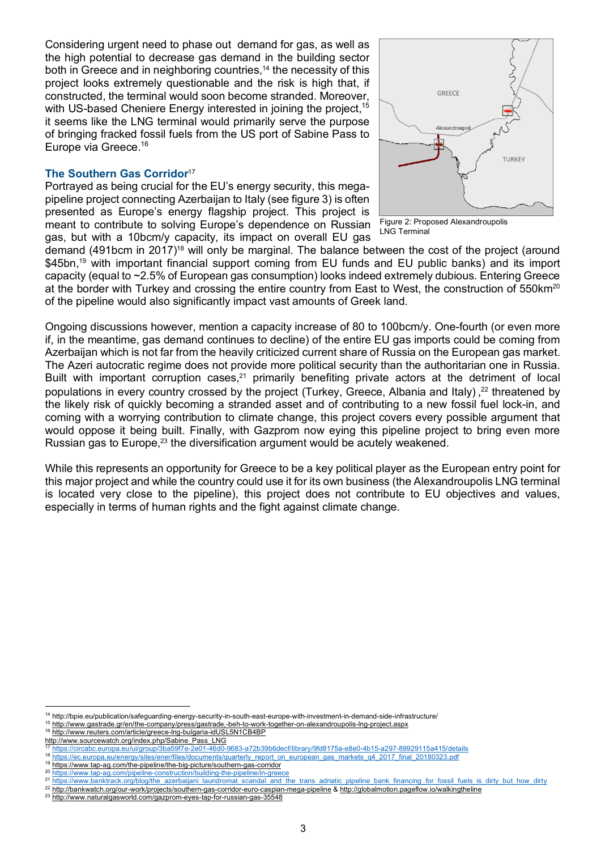Considering urgent need to phase out demand for gas, as well as the high potential to decrease gas demand in the building sector both in Greece and in neighboring countries, <sup>14</sup> the necessity of this project looks extremely questionable and the risk is high that, if constructed, the terminal would soon become stranded. Moreover, with US-based Cheniere Energy interested in joining the project,<sup>15</sup> it seems like the LNG terminal would primarily serve the purpose of bringing fracked fossil fuels from the US port of Sabine Pass to Europe via Greece. 16

### **The Southern Gas Corridor**<sup>17</sup>

Portrayed as being crucial for the EU's energy security, this megapipeline project connecting Azerbaijan to Italy (see figure 3) is often presented as Europe's energy flagship project. This project is meant to contribute to solving Europe's dependence on Russian gas, but with a 10bcm/y capacity, its impact on overall EU gas



Figure 2: Proposed Alexandroupolis LNG Terminal

demand (491bcm in 2017)<sup>18</sup> will only be marginal. The balance between the cost of the project (around \$45bn,<sup>19</sup> with important financial support coming from EU funds and EU public banks) and its import capacity (equal to ~2.5% of European gas consumption) looks indeed extremely dubious. Entering Greece at the border with Turkey and crossing the entire country from East to West, the construction of 550km<sup>20</sup> of the pipeline would also significantly impact vast amounts of Greek land.

Ongoing discussions however, mention a capacity increase of 80 to 100bcm/y. One-fourth (or even more if, in the meantime, gas demand continues to decline) of the entire EU gas imports could be coming from Azerbaijan which is not far from the heavily criticized current share of Russia on the European gas market. The Azeri autocratic regime does not provide more political security than the authoritarian one in Russia. Built with important corruption cases, $21$  primarily benefiting private actors at the detriment of local populations in every country crossed by the project (Turkey, Greece, Albania and Italy),<sup>22</sup> threatened by the likely risk of quickly becoming a stranded asset and of contributing to a new fossil fuel lock-in, and coming with a worrying contribution to climate change, this project covers every possible argument that would oppose it being built. Finally, with Gazprom now eying this pipeline project to bring even more Russian gas to Europe,<sup>23</sup> the diversification argument would be acutely weakened.

While this represents an opportunity for Greece to be a key political player as the European entry point for this major project and while the country could use it for its own business (the Alexandroupolis LNG terminal is located very close to the pipeline), this project does not contribute to EU objectives and values, especially in terms of human rights and the fight against climate change.

<u>.</u>

<sup>14</sup> http://bpie.eu/publication/safeguarding-energy-security-in-south-east-europe-with-investment-in-demand-side-infrastructure/

<sup>15</sup> http://www.gastrade.gr/en/the-company/press/gastrade,-beh-to-work-together-on-alexandroupolis-lng-project.aspx

<sup>16</sup> http://www.reuters.com/article/greece-lng-bulgaria-idUSL5N1CB4BP

http://www.sourcewatch.org/index.php/Sabine\_Pass\_LNG <sup>17</sup> https://circabc.europa.eu/ui/group/3ba59f7e-2e01-46d0-9683-a72b39b6decf/library/9fd8175a-e8e0-4b15-a297-89929115a415/details

<sup>18</sup> https://ec.europa.eu/energy/sites/ener/files/documents/quarterly\_report\_on\_european\_gas\_markets\_q4\_2017\_final\_20180323.pdf

<sup>19</sup> https://www.tap-ag.com/the-pipeline/the-big-picture/southern-gas-corridor

<sup>20</sup> https://www.tap-ag.com/pipeline-construction/building-the-pipeline/in-greece

<sup>21</sup> https://www.banktrack.org/blog/the\_azerbaijani\_laundromat\_scandal\_and\_the\_trans\_adriatic\_pipeline\_bank\_financing\_for\_fossil\_fuels\_is\_dirty\_but\_how\_dirty

<sup>22</sup> http://bankwatch.org/our-work/projects/southern-gas-corridor-euro-caspian-mega-pipeline & http://globalmotion.pageflow.io/walkingtheline

<sup>23</sup> http://www.naturalgasworld.com/gazprom-eyes-tap-for-russian-gas-35548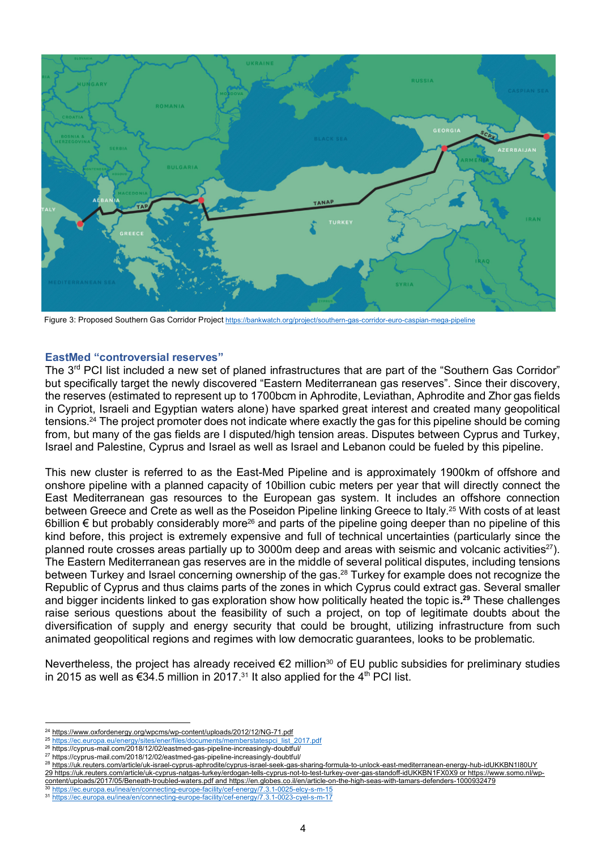

Figure 3: Proposed Southern Gas Corridor Project https://bankwatch.org/project/southern-gas-corridor-euro-caspian-mega-pipeline

#### **EastMed "controversial reserves"**

The 3<sup>rd</sup> PCI list included a new set of planed infrastructures that are part of the "Southern Gas Corridor" but specifically target the newly discovered "Eastern Mediterranean gas reserves". Since their discovery, the reserves (estimated to represent up to 1700bcm in Aphrodite, Leviathan, Aphrodite and Zhor gas fields in Cypriot, Israeli and Egyptian waters alone) have sparked great interest and created many geopolitical tensions. <sup>24</sup> The project promoter does not indicate where exactly the gas for this pipeline should be coming from, but many of the gas fields are I disputed/high tension areas. Disputes between Cyprus and Turkey, Israel and Palestine, Cyprus and Israel as well as Israel and Lebanon could be fueled by this pipeline.

This new cluster is referred to as the East-Med Pipeline and is approximately 1900km of offshore and onshore pipeline with a planned capacity of 10billion cubic meters per year that will directly connect the East Mediterranean gas resources to the European gas system. It includes an offshore connection between Greece and Crete as well as the Poseidon Pipeline linking Greece to Italy.<sup>25</sup> With costs of at least 6billion € but probably considerably more<sup>26</sup> and parts of the pipeline going deeper than no pipeline of this kind before, this project is extremely expensive and full of technical uncertainties (particularly since the planned route crosses areas partially up to 3000m deep and areas with seismic and volcanic activities<sup>27</sup>). The Eastern Mediterranean gas reserves are in the middle of several political disputes, including tensions between Turkey and Israel concerning ownership of the gas.<sup>28</sup> Turkey for example does not recognize the Republic of Cyprus and thus claims parts of the zones in which Cyprus could extract gas. Several smaller and bigger incidents linked to gas exploration show how politically heated the topic is**. <sup>29</sup>** These challenges raise serious questions about the feasibility of such a project, on top of legitimate doubts about the diversification of supply and energy security that could be brought, utilizing infrastructure from such animated geopolitical regions and regimes with low democratic guarantees, looks to be problematic.

Nevertheless, the project has already received €2 million<sup>30</sup> of EU public subsidies for preliminary studies in 2015 as well as €34.5 million in 2017.<sup>31</sup> It also applied for the 4<sup>th</sup> PCI list.

<u>.</u>

 $^{24}$  https://www.oxfordenergy.org/wpcms/wp-content/uploads/2012/12/NG-71.pdf<br> $^{25}$  https://se sureps.ou/epergy/sites/eper/files/desumente/memberstatespei.list

<sup>&</sup>lt;sup>25</sup> <u>https://ec.europa.eu/enerqy/sites/ener/files/documents/memberstatespci\_list\_2017.pdf<br><sup>26</sup> https://cyprus-mail.com/2018/12/02/eastmed-gas-pipeline-increasingly-doubtful/</u>

<sup>27</sup> https://cyprus-mail.com/2018/12/02/eastmed-gas-pipeline-increasingly-doubtful/

<sup>28</sup> https://uk.reuters.com/article/uk-israel-cyprus-aphrodite/cyprus-israel-seek-gas-sharing-formula-to-unlock-east-mediterranean-energy-hub-idUKKBN1I80UY 29 https://uk.reuters.com/article/uk-cyprus-natgas-turkey/erdogan-tells-cyprus-not-to-test-turkey-over-gas-standoff-idUKKBN1FX0X9 or https://www.somo.nl/wpcontent/uploads/2017/05/Beneath-troubled-waters.pdf and https://en.globes.co.il/en/article-on-the-high-seas-with-tamars-defenders-1000932479

https://ec.europa.eu/inea/en/connecting-europe-facility/cef-energy/7.3.1-0025-elcy-s-m-15 <sup>31</sup> https://ec.europa.eu/inea/en/connecting-europe-facility/cef-energy/7.3.1-0023-cyel-s-m-17